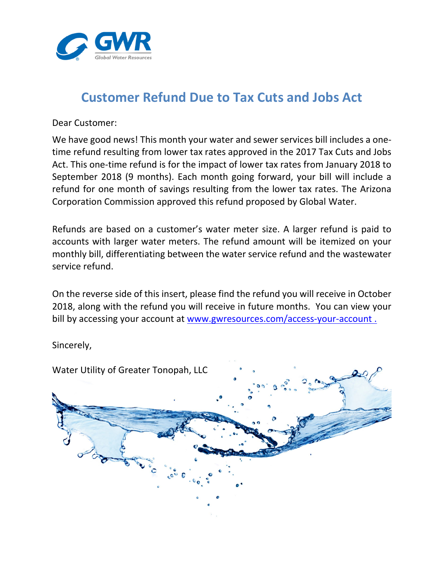

## **Customer Refund Due to Tax Cuts and Jobs Act**

Dear Customer:

We have good news! This month your water and sewer services bill includes a onetime refund resulting from lower tax rates approved in the 2017 Tax Cuts and Jobs Act. This one-time refund is for the impact of lower tax rates from January 2018 to September 2018 (9 months). Each month going forward, your bill will include a refund for one month of savings resulting from the lower tax rates. The Arizona Corporation Commission approved this refund proposed by Global Water.

Refunds are based on a customer's water meter size. A larger refund is paid to accounts with larger water meters. The refund amount will be itemized on your monthly bill, differentiating between the water service refund and the wastewater service refund.

On the reverse side of this insert, please find the refund you will receive in October 2018, along with the refund you will receive in future months. You can view your bill by accessing your account at www.gwresources.com/access-your-account.

Sincerely,